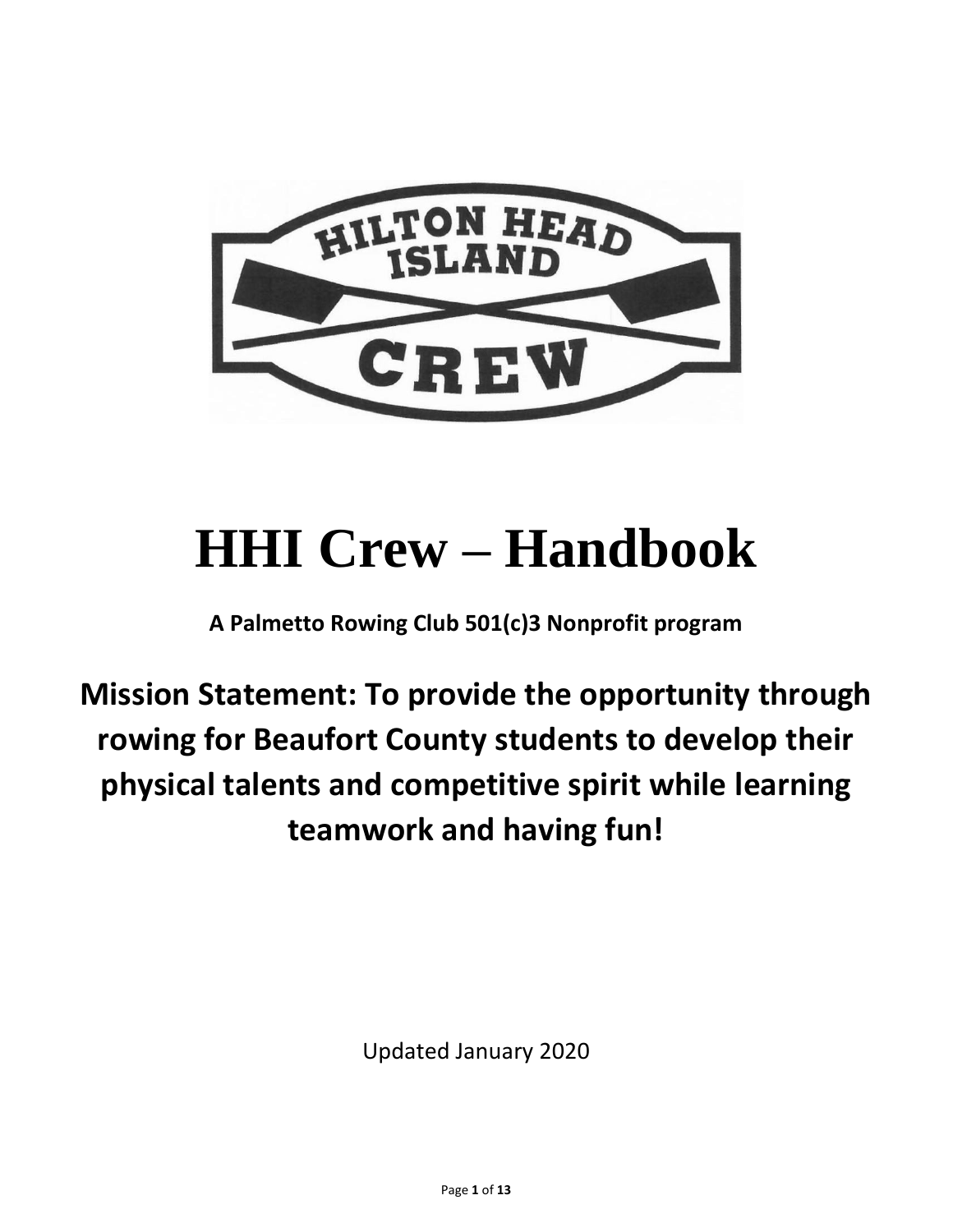

# **HHI Crew – Handbook**

**A Palmetto Rowing Club 501(c)3 Nonprofit program**

**Mission Statement: To provide the opportunity through rowing for Beaufort County students to develop their physical talents and competitive spirit while learning teamwork and having fun!**

Updated January 2020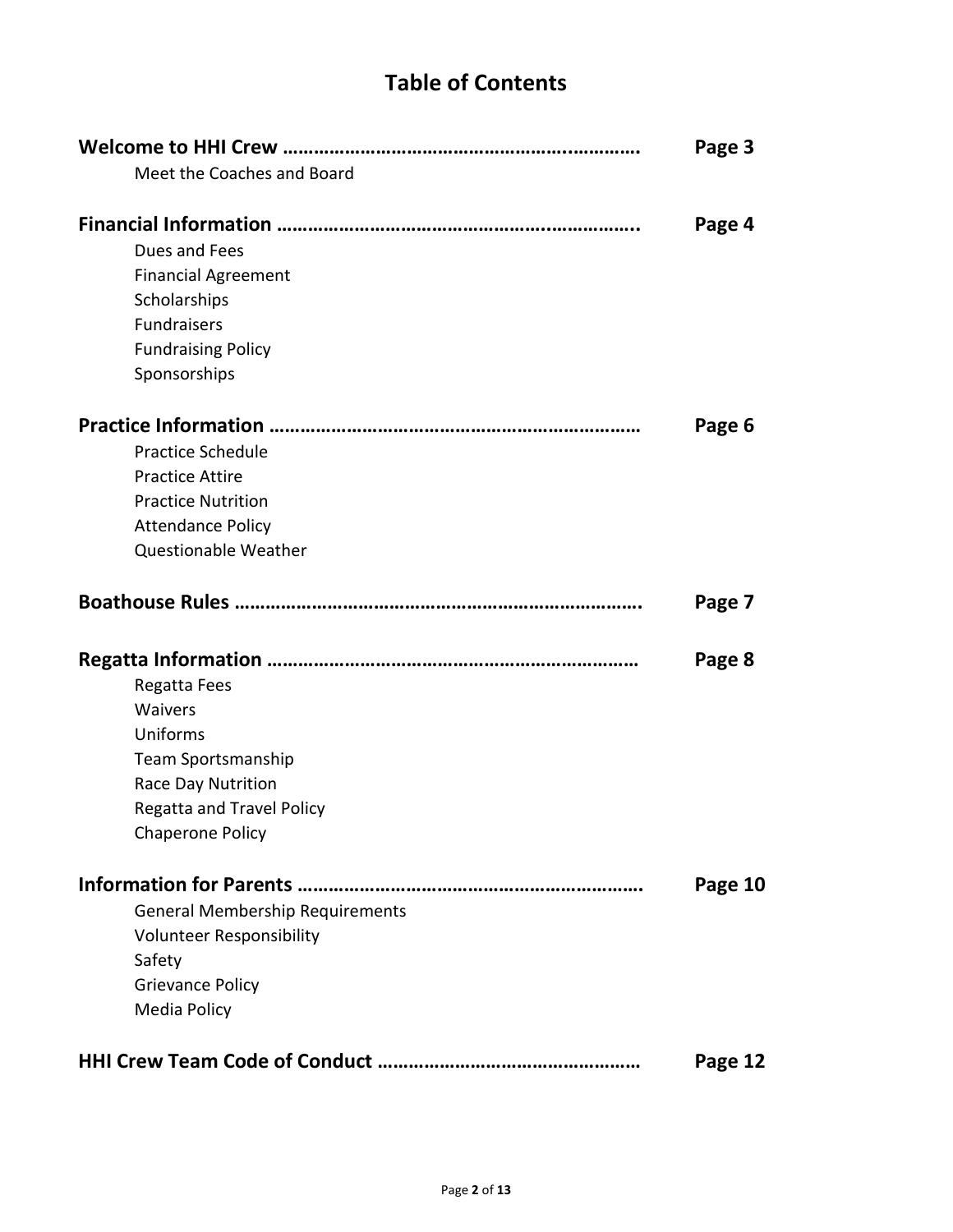# **Table of Contents**

|                                        | Page 3  |
|----------------------------------------|---------|
| Meet the Coaches and Board             |         |
|                                        |         |
|                                        | Page 4  |
| Dues and Fees                          |         |
| <b>Financial Agreement</b>             |         |
| Scholarships                           |         |
| <b>Fundraisers</b>                     |         |
| <b>Fundraising Policy</b>              |         |
| Sponsorships                           |         |
|                                        |         |
|                                        | Page 6  |
| <b>Practice Schedule</b>               |         |
| <b>Practice Attire</b>                 |         |
| <b>Practice Nutrition</b>              |         |
| <b>Attendance Policy</b>               |         |
| Questionable Weather                   |         |
|                                        | Page 7  |
|                                        |         |
|                                        | Page 8  |
| Regatta Fees                           |         |
| Waivers                                |         |
| Uniforms                               |         |
| <b>Team Sportsmanship</b>              |         |
| Race Day Nutrition                     |         |
| <b>Regatta and Travel Policy</b>       |         |
| <b>Chaperone Policy</b>                |         |
| <b>Information for Parents.</b>        | Page 10 |
| <b>General Membership Requirements</b> |         |
| Volunteer Responsibility               |         |
| Safety                                 |         |
| <b>Grievance Policy</b>                |         |
| Media Policy                           |         |
|                                        |         |
|                                        | Page 12 |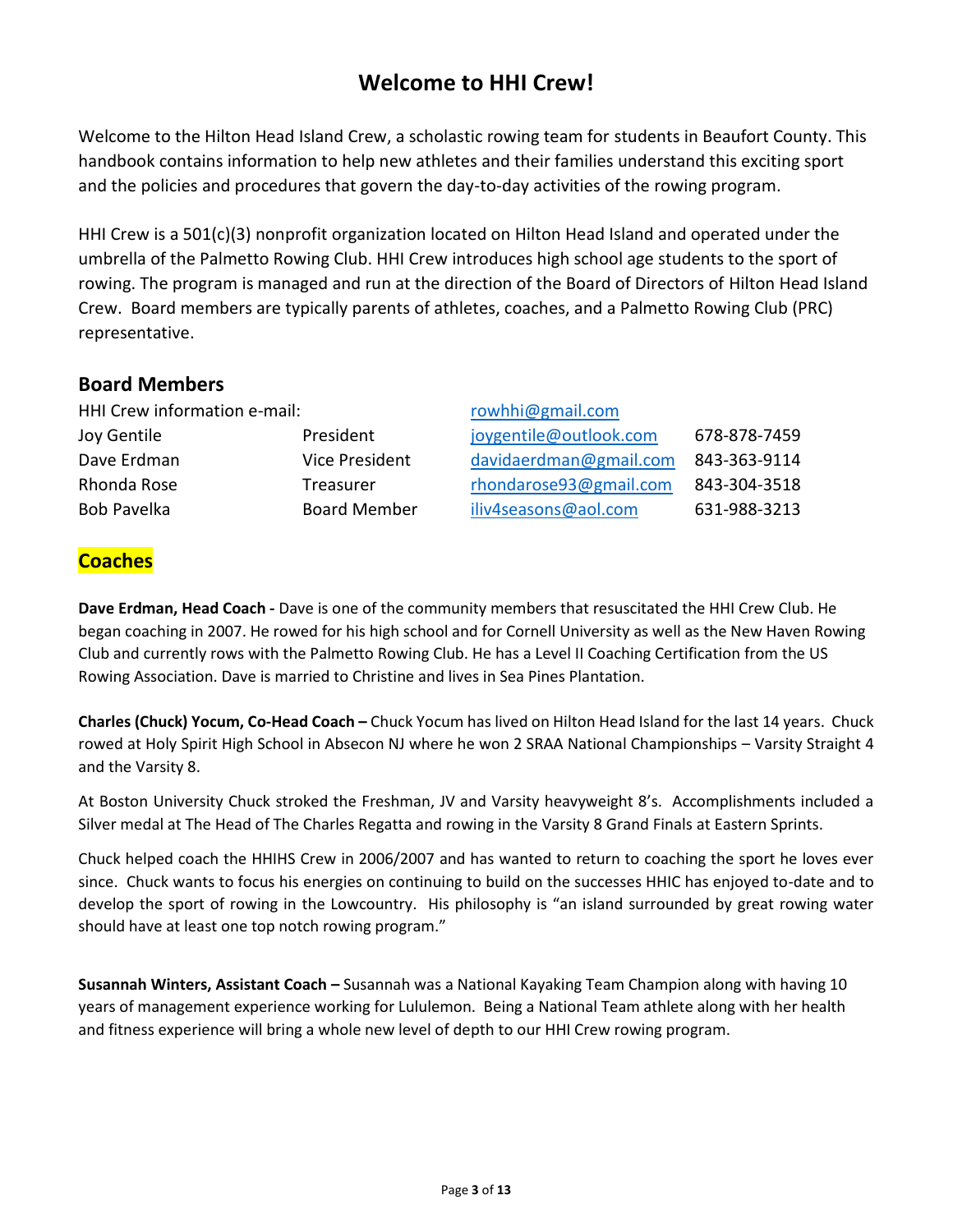# **Welcome to HHI Crew!**

Welcome to the Hilton Head Island Crew, a scholastic rowing team for students in Beaufort County. This handbook contains information to help new athletes and their families understand this exciting sport and the policies and procedures that govern the day-to-day activities of the rowing program.

HHI Crew is a 501(c)(3) nonprofit organization located on Hilton Head Island and operated under the umbrella of the Palmetto Rowing Club. HHI Crew introduces high school age students to the sport of rowing. The program is managed and run at the direction of the Board of Directors of Hilton Head Island Crew. Board members are typically parents of athletes, coaches, and a Palmetto Rowing Club (PRC) representative.

#### **Board Members**

|                     | rowhhi@gmail.com             |              |
|---------------------|------------------------------|--------------|
| President           | joygentile@outlook.com       | 678-878-7459 |
| Vice President      | davidaerdman@gmail.com       | 843-363-9114 |
| Treasurer           | rhondarose93@gmail.com       | 843-304-3518 |
| <b>Board Member</b> | iliv4seasons@aol.com         | 631-988-3213 |
|                     | HHI Crew information e-mail: |              |

# **Coaches**

**Dave Erdman, Head Coach -** Dave is one of the community members that resuscitated the HHI Crew Club. He began coaching in 2007. He rowed for his high school and for Cornell University as well as the New Haven Rowing Club and currently rows with the Palmetto Rowing Club. He has a Level II Coaching Certification from the US Rowing Association. Dave is married to Christine and lives in Sea Pines Plantation.

**Charles (Chuck) Yocum, Co-Head Coach –** Chuck Yocum has lived on Hilton Head Island for the last 14 years. Chuck rowed at Holy Spirit High School in Absecon NJ where he won 2 SRAA National Championships – Varsity Straight 4 and the Varsity 8.

At Boston University Chuck stroked the Freshman, JV and Varsity heavyweight 8's. Accomplishments included a Silver medal at The Head of The Charles Regatta and rowing in the Varsity 8 Grand Finals at Eastern Sprints.

Chuck helped coach the HHIHS Crew in 2006/2007 and has wanted to return to coaching the sport he loves ever since. Chuck wants to focus his energies on continuing to build on the successes HHIC has enjoyed to-date and to develop the sport of rowing in the Lowcountry. His philosophy is "an island surrounded by great rowing water should have at least one top notch rowing program."

**Susannah Winters, Assistant Coach –** Susannah was a National Kayaking Team Champion along with having 10 years of management experience working for Lululemon. Being a National Team athlete along with her health and fitness experience will bring a whole new level of depth to our HHI Crew rowing program.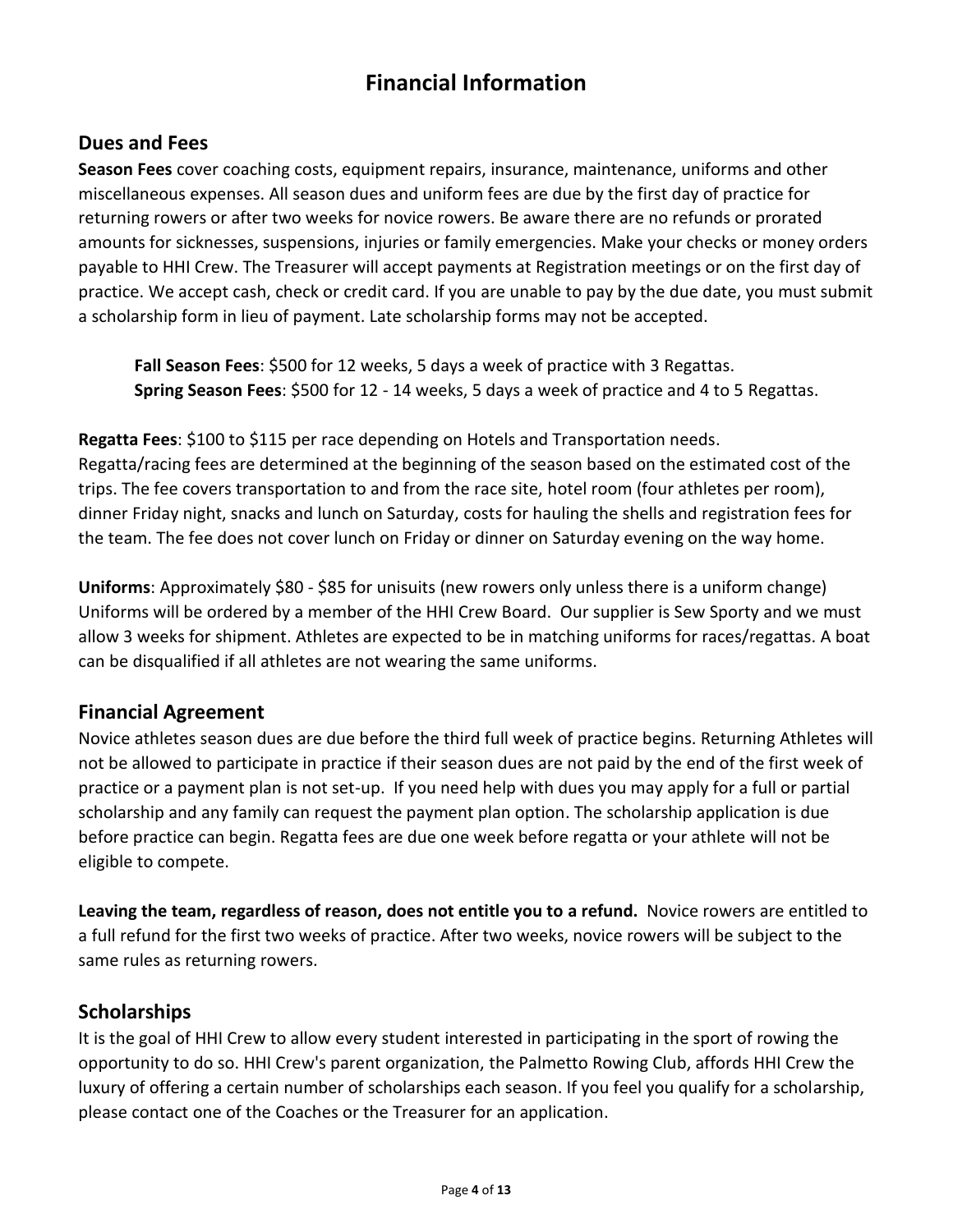# **Financial Information**

## **Dues and Fees**

**Season Fees** cover coaching costs, equipment repairs, insurance, maintenance, uniforms and other miscellaneous expenses. All season dues and uniform fees are due by the first day of practice for returning rowers or after two weeks for novice rowers. Be aware there are no refunds or prorated amounts for sicknesses, suspensions, injuries or family emergencies. Make your checks or money orders payable to HHI Crew. The Treasurer will accept payments at Registration meetings or on the first day of practice. We accept cash, check or credit card. If you are unable to pay by the due date, you must submit a scholarship form in lieu of payment. Late scholarship forms may not be accepted.

**Fall Season Fees**: \$500 for 12 weeks, 5 days a week of practice with 3 Regattas. **Spring Season Fees**: \$500 for 12 - 14 weeks, 5 days a week of practice and 4 to 5 Regattas.

**Regatta Fees**: \$100 to \$115 per race depending on Hotels and Transportation needs. Regatta/racing fees are determined at the beginning of the season based on the estimated cost of the trips. The fee covers transportation to and from the race site, hotel room (four athletes per room), dinner Friday night, snacks and lunch on Saturday, costs for hauling the shells and registration fees for the team. The fee does not cover lunch on Friday or dinner on Saturday evening on the way home.

**Uniforms**: Approximately \$80 - \$85 for unisuits (new rowers only unless there is a uniform change) Uniforms will be ordered by a member of the HHI Crew Board. Our supplier is Sew Sporty and we must allow 3 weeks for shipment. Athletes are expected to be in matching uniforms for races/regattas. A boat can be disqualified if all athletes are not wearing the same uniforms.

#### **Financial Agreement**

Novice athletes season dues are due before the third full week of practice begins. Returning Athletes will not be allowed to participate in practice if their season dues are not paid by the end of the first week of practice or a payment plan is not set-up. If you need help with dues you may apply for a full or partial scholarship and any family can request the payment plan option. The scholarship application is due before practice can begin. Regatta fees are due one week before regatta or your athlete will not be eligible to compete.

**Leaving the team, regardless of reason, does not entitle you to a refund.** Novice rowers are entitled to a full refund for the first two weeks of practice. After two weeks, novice rowers will be subject to the same rules as returning rowers.

#### **Scholarships**

It is the goal of HHI Crew to allow every student interested in participating in the sport of rowing the opportunity to do so. HHI Crew's parent organization, the Palmetto Rowing Club, affords HHI Crew the luxury of offering a certain number of scholarships each season. If you feel you qualify for a scholarship, please contact one of the Coaches or the Treasurer for an application.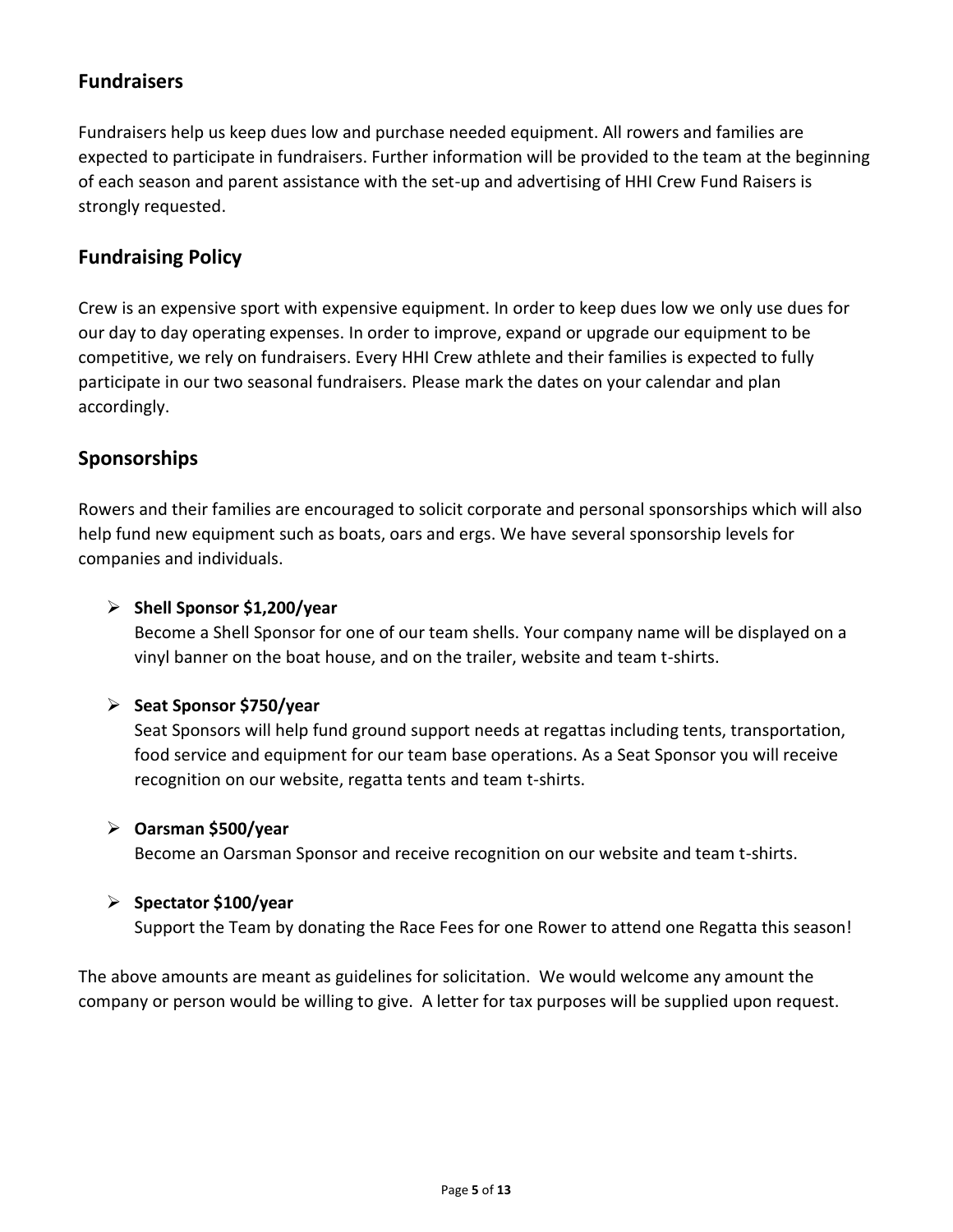# **Fundraisers**

Fundraisers help us keep dues low and purchase needed equipment. All rowers and families are expected to participate in fundraisers. Further information will be provided to the team at the beginning of each season and parent assistance with the set-up and advertising of HHI Crew Fund Raisers is strongly requested.

# **Fundraising Policy**

Crew is an expensive sport with expensive equipment. In order to keep dues low we only use dues for our day to day operating expenses. In order to improve, expand or upgrade our equipment to be competitive, we rely on fundraisers. Every HHI Crew athlete and their families is expected to fully participate in our two seasonal fundraisers. Please mark the dates on your calendar and plan accordingly.

# **Sponsorships**

Rowers and their families are encouraged to solicit corporate and personal sponsorships which will also help fund new equipment such as boats, oars and ergs. We have several sponsorship levels for companies and individuals.

#### ➢ **Shell Sponsor \$1,200/year**

Become a Shell Sponsor for one of our team shells. Your company name will be displayed on a vinyl banner on the boat house, and on the trailer, website and team t-shirts.

#### ➢ **Seat Sponsor \$750/year**

Seat Sponsors will help fund ground support needs at regattas including tents, transportation, food service and equipment for our team base operations. As a Seat Sponsor you will receive recognition on our website, regatta tents and team t-shirts.

#### ➢ **Oarsman \$500/year**

Become an Oarsman Sponsor and receive recognition on our website and team t-shirts.

#### ➢ **Spectator \$100/year**

Support the Team by donating the Race Fees for one Rower to attend one Regatta this season!

The above amounts are meant as guidelines for solicitation. We would welcome any amount the company or person would be willing to give. A letter for tax purposes will be supplied upon request.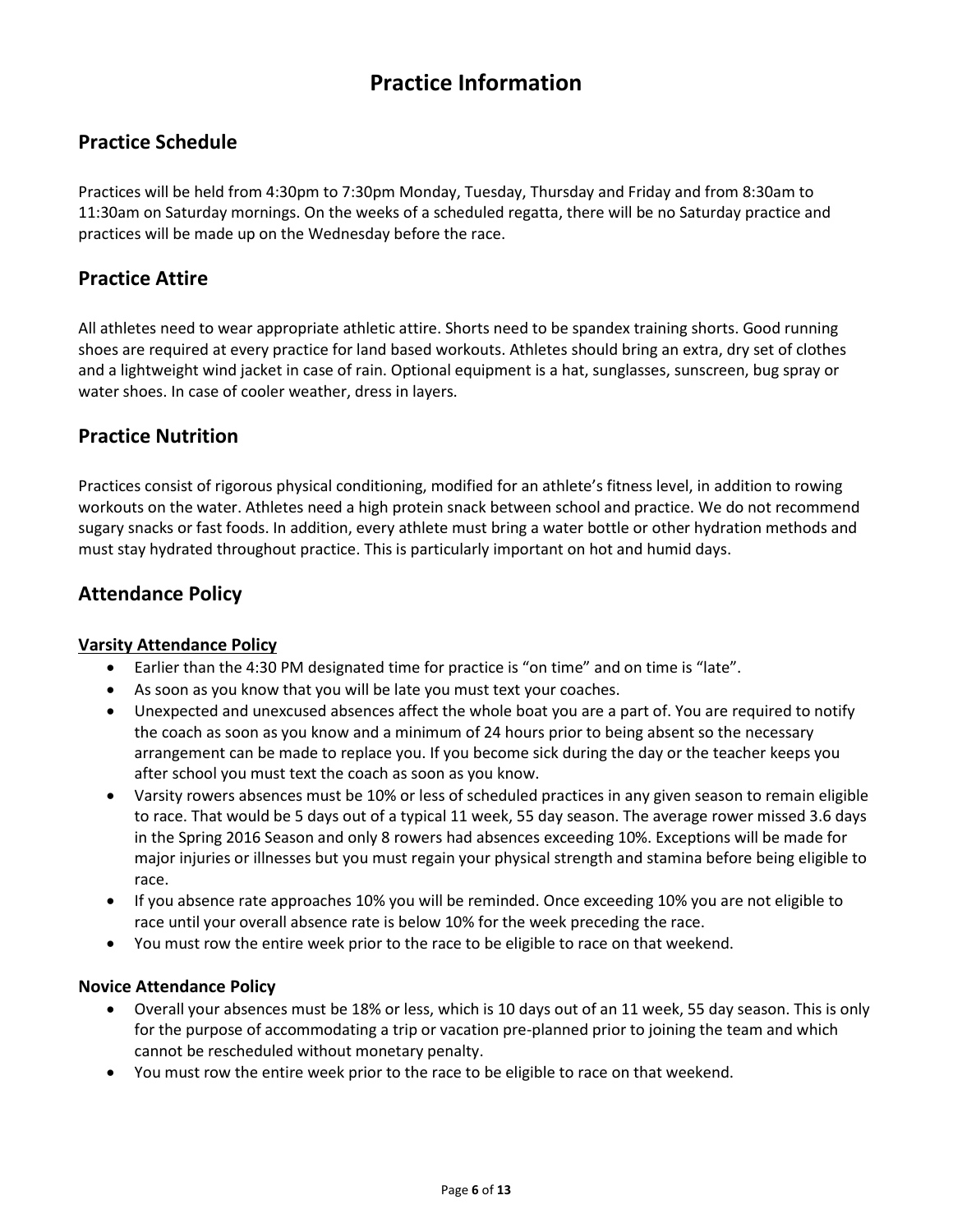# **Practice Information**

# **Practice Schedule**

Practices will be held from 4:30pm to 7:30pm Monday, Tuesday, Thursday and Friday and from 8:30am to 11:30am on Saturday mornings. On the weeks of a scheduled regatta, there will be no Saturday practice and practices will be made up on the Wednesday before the race.

#### **Practice Attire**

All athletes need to wear appropriate athletic attire. Shorts need to be spandex training shorts. Good running shoes are required at every practice for land based workouts. Athletes should bring an extra, dry set of clothes and a lightweight wind jacket in case of rain. Optional equipment is a hat, sunglasses, sunscreen, bug spray or water shoes. In case of cooler weather, dress in layers.

## **Practice Nutrition**

Practices consist of rigorous physical conditioning, modified for an athlete's fitness level, in addition to rowing workouts on the water. Athletes need a high protein snack between school and practice. We do not recommend sugary snacks or fast foods. In addition, every athlete must bring a water bottle or other hydration methods and must stay hydrated throughout practice. This is particularly important on hot and humid days.

## **Attendance Policy**

#### **Varsity Attendance Policy**

- Earlier than the 4:30 PM designated time for practice is "on time" and on time is "late".
- As soon as you know that you will be late you must text your coaches.
- Unexpected and unexcused absences affect the whole boat you are a part of. You are required to notify the coach as soon as you know and a minimum of 24 hours prior to being absent so the necessary arrangement can be made to replace you. If you become sick during the day or the teacher keeps you after school you must text the coach as soon as you know.
- Varsity rowers absences must be 10% or less of scheduled practices in any given season to remain eligible to race. That would be 5 days out of a typical 11 week, 55 day season. The average rower missed 3.6 days in the Spring 2016 Season and only 8 rowers had absences exceeding 10%. Exceptions will be made for major injuries or illnesses but you must regain your physical strength and stamina before being eligible to race.
- If you absence rate approaches 10% you will be reminded. Once exceeding 10% you are not eligible to race until your overall absence rate is below 10% for the week preceding the race.
- You must row the entire week prior to the race to be eligible to race on that weekend.

#### **Novice Attendance Policy**

- Overall your absences must be 18% or less, which is 10 days out of an 11 week, 55 day season. This is only for the purpose of accommodating a trip or vacation pre-planned prior to joining the team and which cannot be rescheduled without monetary penalty.
- You must row the entire week prior to the race to be eligible to race on that weekend.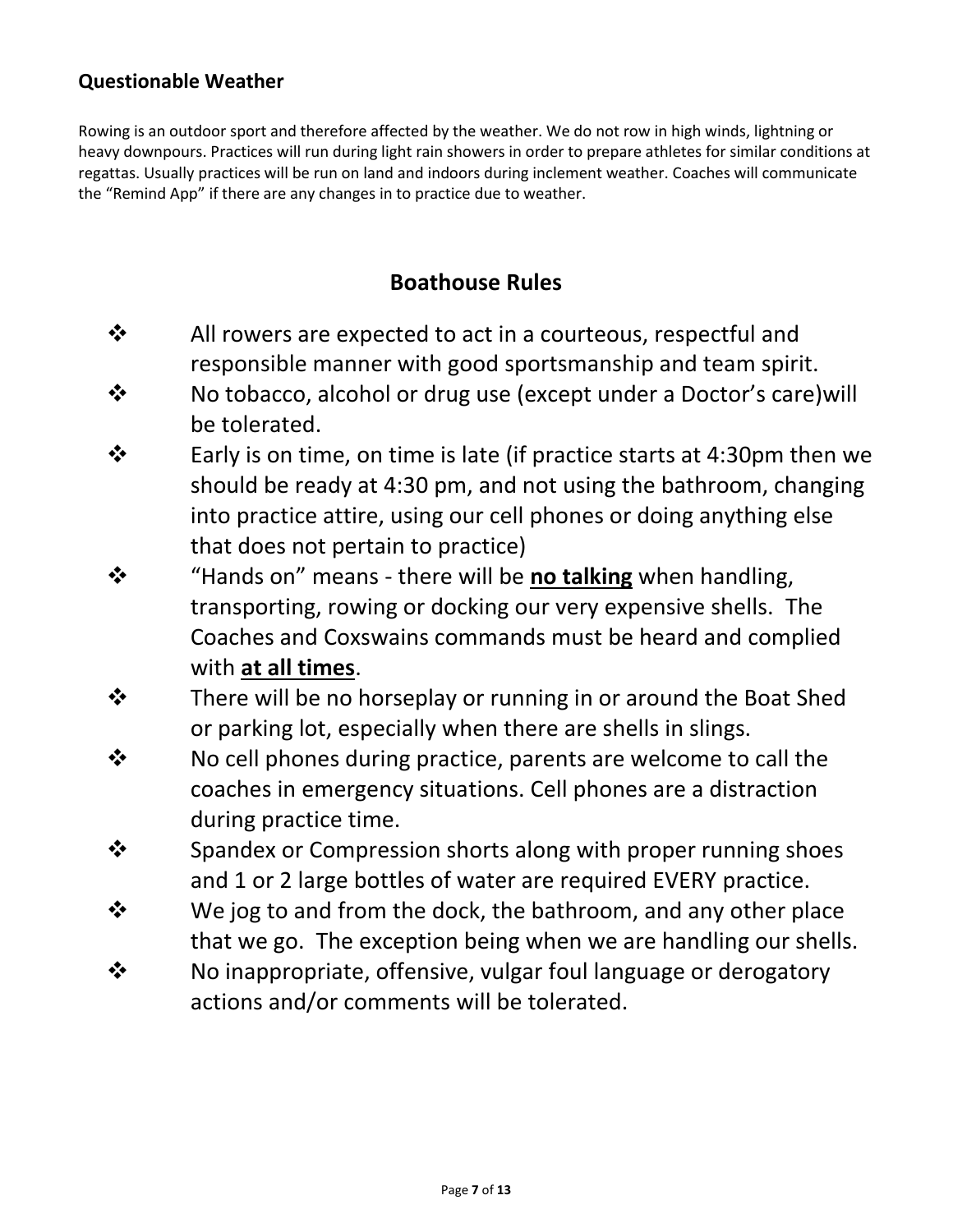# **Questionable Weather**

Rowing is an outdoor sport and therefore affected by the weather. We do not row in high winds, lightning or heavy downpours. Practices will run during light rain showers in order to prepare athletes for similar conditions at regattas. Usually practices will be run on land and indoors during inclement weather. Coaches will communicate the "Remind App" if there are any changes in to practice due to weather.

# **Boathouse Rules**

- ❖ All rowers are expected to act in a courteous, respectful and responsible manner with good sportsmanship and team spirit.
- ❖ No tobacco, alcohol or drug use (except under a Doctor's care)will be tolerated.
- ❖ Early is on time, on time is late (if practice starts at 4:30pm then we should be ready at 4:30 pm, and not using the bathroom, changing into practice attire, using our cell phones or doing anything else that does not pertain to practice)
- ❖ "Hands on" means there will be **no talking** when handling, transporting, rowing or docking our very expensive shells. The Coaches and Coxswains commands must be heard and complied with **at all times**.
- ❖ There will be no horseplay or running in or around the Boat Shed or parking lot, especially when there are shells in slings.
- ❖ No cell phones during practice, parents are welcome to call the coaches in emergency situations. Cell phones are a distraction during practice time.
- ❖ Spandex or Compression shorts along with proper running shoes and 1 or 2 large bottles of water are required EVERY practice.
- ❖ We jog to and from the dock, the bathroom, and any other place that we go. The exception being when we are handling our shells.
- ❖ No inappropriate, offensive, vulgar foul language or derogatory actions and/or comments will be tolerated.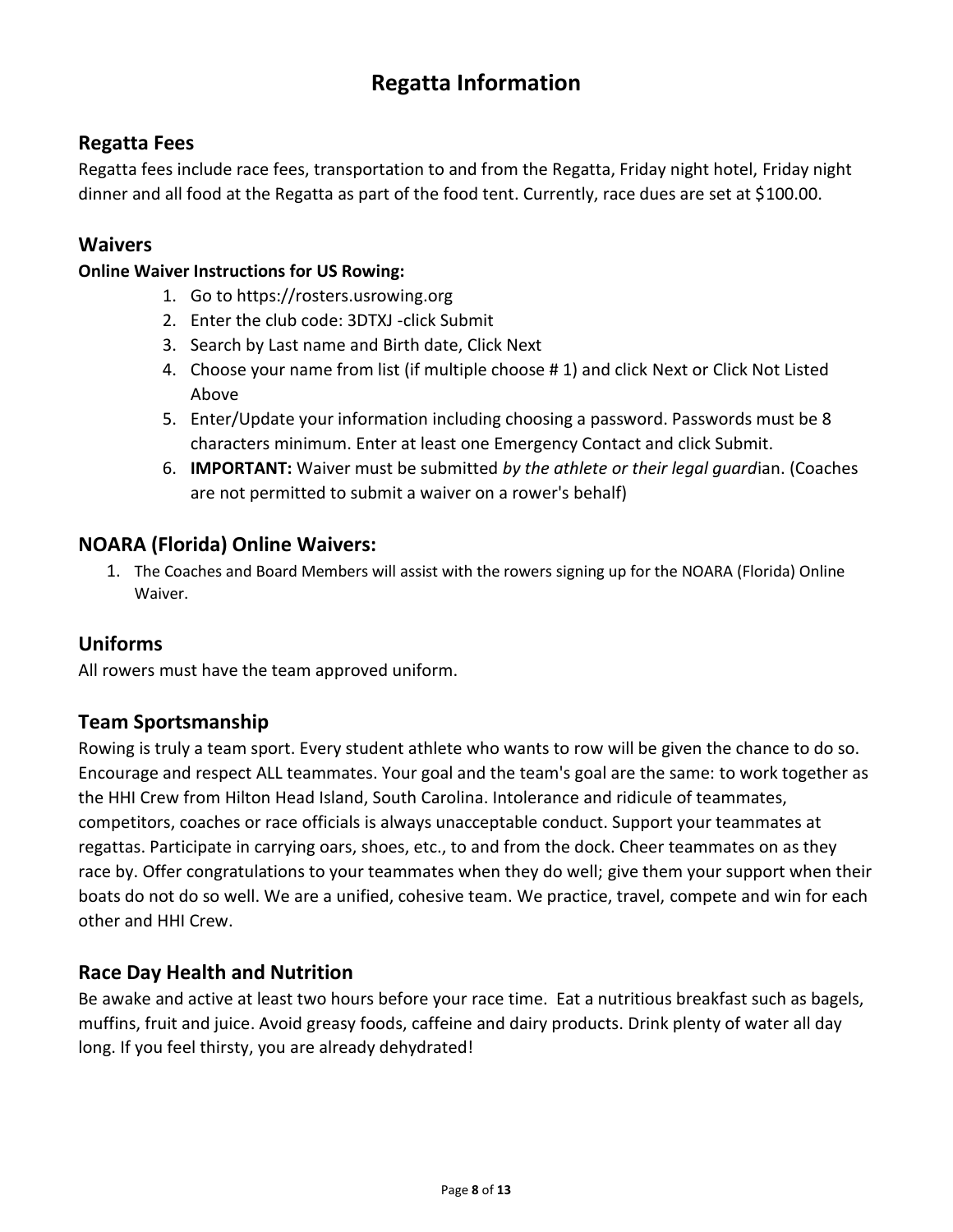# **Regatta Information**

# **Regatta Fees**

Regatta fees include race fees, transportation to and from the Regatta, Friday night hotel, Friday night dinner and all food at the Regatta as part of the food tent. Currently, race dues are set at \$100.00.

#### **Waivers**

#### **Online Waiver Instructions for US Rowing:**

- 1. Go to https://rosters.usrowing.org
- 2. Enter the club code: 3DTXJ -click Submit
- 3. Search by Last name and Birth date, Click Next
- 4. Choose your name from list (if multiple choose # 1) and click Next or Click Not Listed Above
- 5. Enter/Update your information including choosing a password. Passwords must be 8 characters minimum. Enter at least one Emergency Contact and click Submit.
- 6. **IMPORTANT:** Waiver must be submitted *by the athlete or their legal guard*ian. (Coaches are not permitted to submit a waiver on a rower's behalf)

## **NOARA (Florida) Online Waivers:**

1. The Coaches and Board Members will assist with the rowers signing up for the NOARA (Florida) Online Waiver.

## **Uniforms**

All rowers must have the team approved uniform.

## **Team Sportsmanship**

Rowing is truly a team sport. Every student athlete who wants to row will be given the chance to do so. Encourage and respect ALL teammates. Your goal and the team's goal are the same: to work together as the HHI Crew from Hilton Head Island, South Carolina. Intolerance and ridicule of teammates, competitors, coaches or race officials is always unacceptable conduct. Support your teammates at regattas. Participate in carrying oars, shoes, etc., to and from the dock. Cheer teammates on as they race by. Offer congratulations to your teammates when they do well; give them your support when their boats do not do so well. We are a unified, cohesive team. We practice, travel, compete and win for each other and HHI Crew.

## **Race Day Health and Nutrition**

Be awake and active at least two hours before your race time. Eat a nutritious breakfast such as bagels, muffins, fruit and juice. Avoid greasy foods, caffeine and dairy products. Drink plenty of water all day long. If you feel thirsty, you are already dehydrated!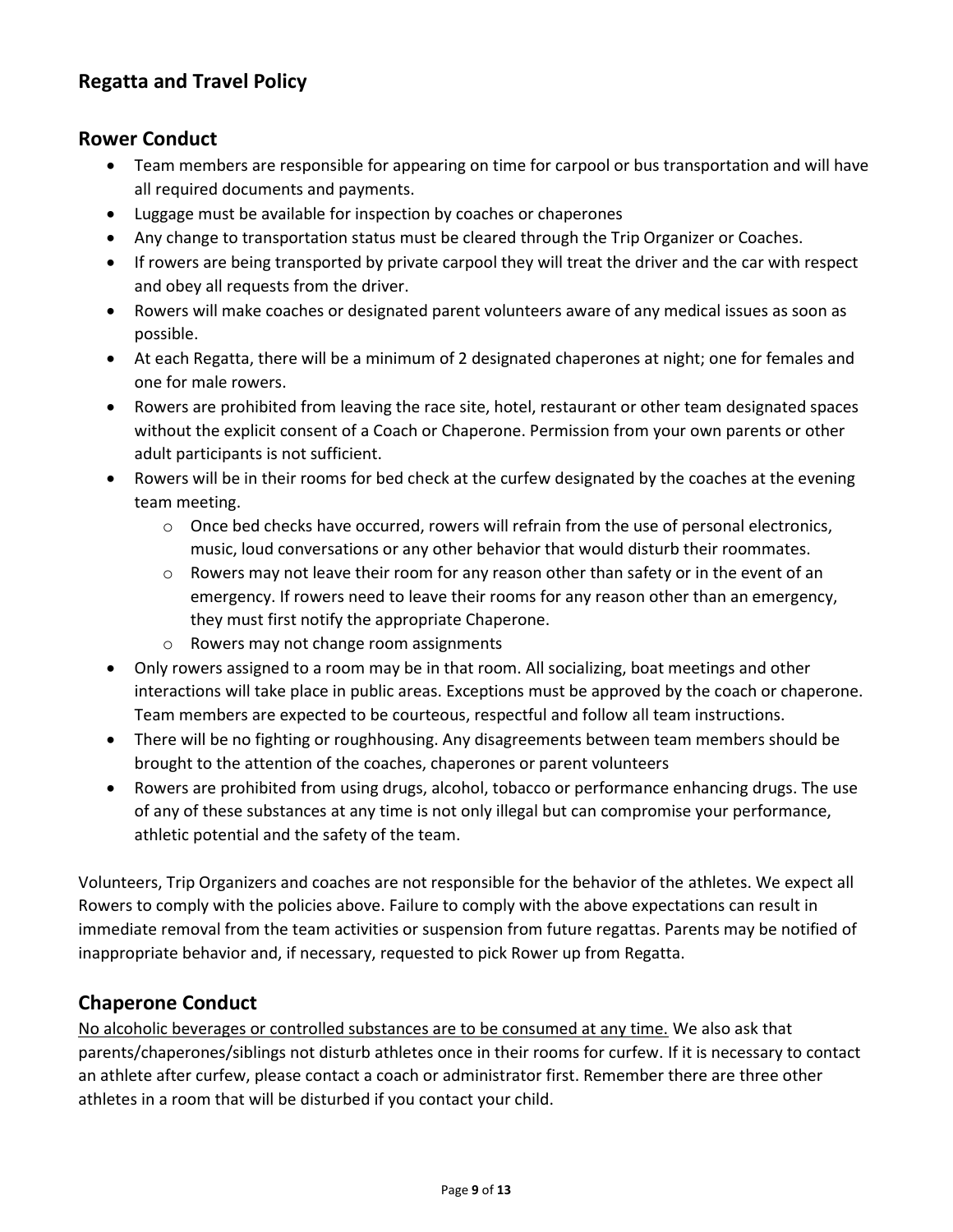# **Regatta and Travel Policy**

## **Rower Conduct**

- Team members are responsible for appearing on time for carpool or bus transportation and will have all required documents and payments.
- Luggage must be available for inspection by coaches or chaperones
- Any change to transportation status must be cleared through the Trip Organizer or Coaches.
- If rowers are being transported by private carpool they will treat the driver and the car with respect and obey all requests from the driver.
- Rowers will make coaches or designated parent volunteers aware of any medical issues as soon as possible.
- At each Regatta, there will be a minimum of 2 designated chaperones at night; one for females and one for male rowers.
- Rowers are prohibited from leaving the race site, hotel, restaurant or other team designated spaces without the explicit consent of a Coach or Chaperone. Permission from your own parents or other adult participants is not sufficient.
- Rowers will be in their rooms for bed check at the curfew designated by the coaches at the evening team meeting.
	- $\circ$  Once bed checks have occurred, rowers will refrain from the use of personal electronics, music, loud conversations or any other behavior that would disturb their roommates.
	- o Rowers may not leave their room for any reason other than safety or in the event of an emergency. If rowers need to leave their rooms for any reason other than an emergency, they must first notify the appropriate Chaperone.
	- o Rowers may not change room assignments
- Only rowers assigned to a room may be in that room. All socializing, boat meetings and other interactions will take place in public areas. Exceptions must be approved by the coach or chaperone. Team members are expected to be courteous, respectful and follow all team instructions.
- There will be no fighting or roughhousing. Any disagreements between team members should be brought to the attention of the coaches, chaperones or parent volunteers
- Rowers are prohibited from using drugs, alcohol, tobacco or performance enhancing drugs. The use of any of these substances at any time is not only illegal but can compromise your performance, athletic potential and the safety of the team.

Volunteers, Trip Organizers and coaches are not responsible for the behavior of the athletes. We expect all Rowers to comply with the policies above. Failure to comply with the above expectations can result in immediate removal from the team activities or suspension from future regattas. Parents may be notified of inappropriate behavior and, if necessary, requested to pick Rower up from Regatta.

## **Chaperone Conduct**

No alcoholic beverages or controlled substances are to be consumed at any time. We also ask that parents/chaperones/siblings not disturb athletes once in their rooms for curfew. If it is necessary to contact an athlete after curfew, please contact a coach or administrator first. Remember there are three other athletes in a room that will be disturbed if you contact your child.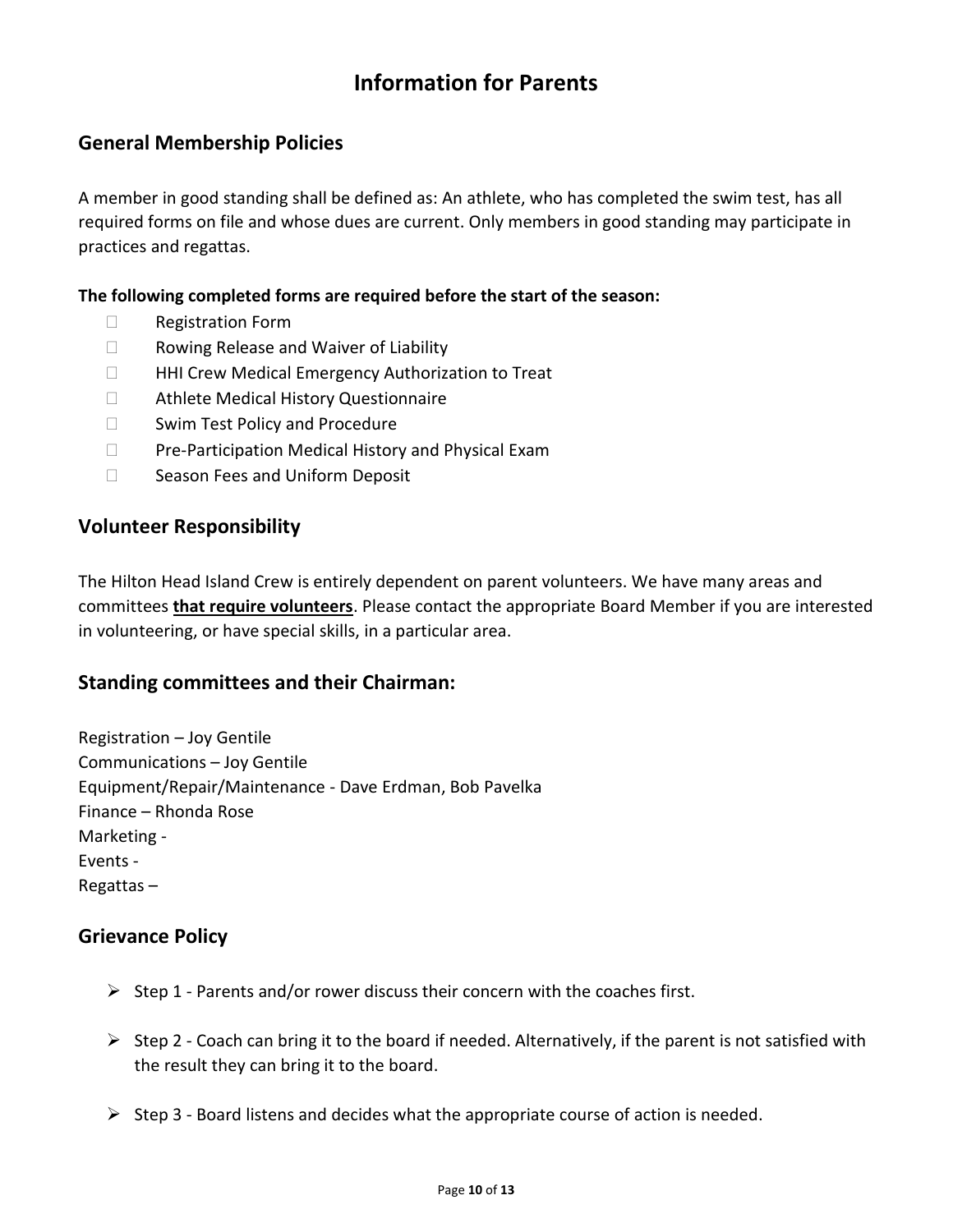# **Information for Parents**

## **General Membership Policies**

A member in good standing shall be defined as: An athlete, who has completed the swim test, has all required forms on file and whose dues are current. Only members in good standing may participate in practices and regattas.

#### **The following completed forms are required before the start of the season:**

- □ Registration Form
- □ Rowing Release and Waiver of Liability
- □ HHI Crew Medical Emergency Authorization to Treat
- □ Athlete Medical History Questionnaire
- □ Swim Test Policy and Procedure
- $\Box$  Pre-Participation Medical History and Physical Exam
- □ Season Fees and Uniform Deposit

#### **Volunteer Responsibility**

The Hilton Head Island Crew is entirely dependent on parent volunteers. We have many areas and committees **that require volunteers**. Please contact the appropriate Board Member if you are interested in volunteering, or have special skills, in a particular area.

#### **Standing committees and their Chairman:**

Registration – Joy Gentile Communications – Joy Gentile Equipment/Repair/Maintenance - Dave Erdman, Bob Pavelka Finance – Rhonda Rose Marketing - Events - Regattas –

#### **Grievance Policy**

- $\triangleright$  Step 1 Parents and/or rower discuss their concern with the coaches first.
- $\triangleright$  Step 2 Coach can bring it to the board if needed. Alternatively, if the parent is not satisfied with the result they can bring it to the board.
- $\triangleright$  Step 3 Board listens and decides what the appropriate course of action is needed.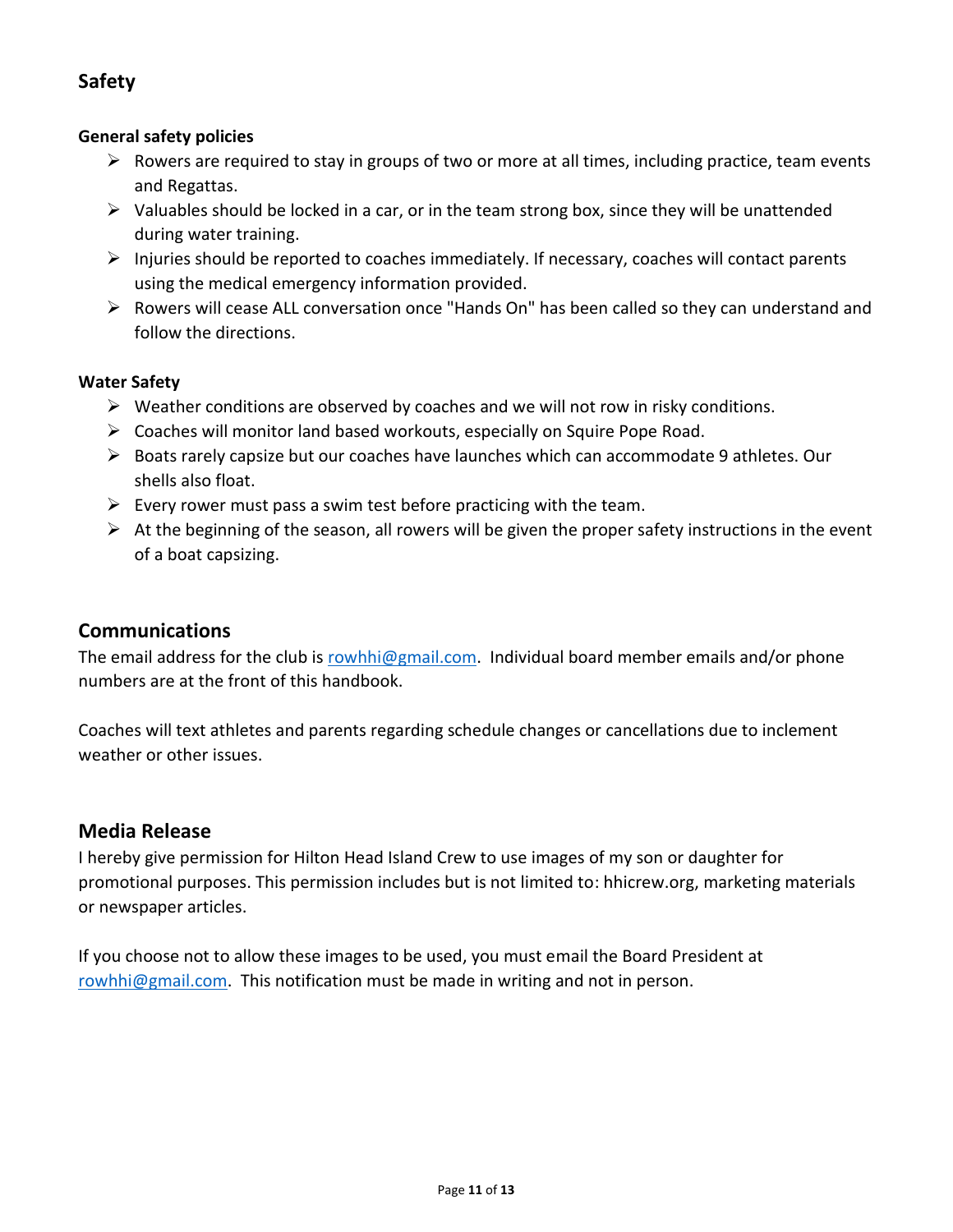# **Safety**

#### **General safety policies**

- $\triangleright$  Rowers are required to stay in groups of two or more at all times, including practice, team events and Regattas.
- $\triangleright$  Valuables should be locked in a car, or in the team strong box, since they will be unattended during water training.
- ➢ Injuries should be reported to coaches immediately. If necessary, coaches will contact parents using the medical emergency information provided.
- ➢ Rowers will cease ALL conversation once "Hands On" has been called so they can understand and follow the directions.

#### **Water Safety**

- $\triangleright$  Weather conditions are observed by coaches and we will not row in risky conditions.
- $\triangleright$  Coaches will monitor land based workouts, especially on Squire Pope Road.
- ➢ Boats rarely capsize but our coaches have launches which can accommodate 9 athletes. Our shells also float.
- $\triangleright$  Every rower must pass a swim test before practicing with the team.
- $\triangleright$  At the beginning of the season, all rowers will be given the proper safety instructions in the event of a boat capsizing.

#### **Communications**

The email address for the club is [rowhhi@gmail.com.](mailto:rowhhi@gmail.com) Individual board member emails and/or phone numbers are at the front of this handbook.

Coaches will text athletes and parents regarding schedule changes or cancellations due to inclement weather or other issues.

#### **Media Release**

I hereby give permission for Hilton Head Island Crew to use images of my son or daughter for promotional purposes. This permission includes but is not limited to: hhicrew.org, marketing materials or newspaper articles.

If you choose not to allow these images to be used, you must email the Board President at [rowhhi@gmail.com.](mailto:rowhhi@gmail.com) This notification must be made in writing and not in person.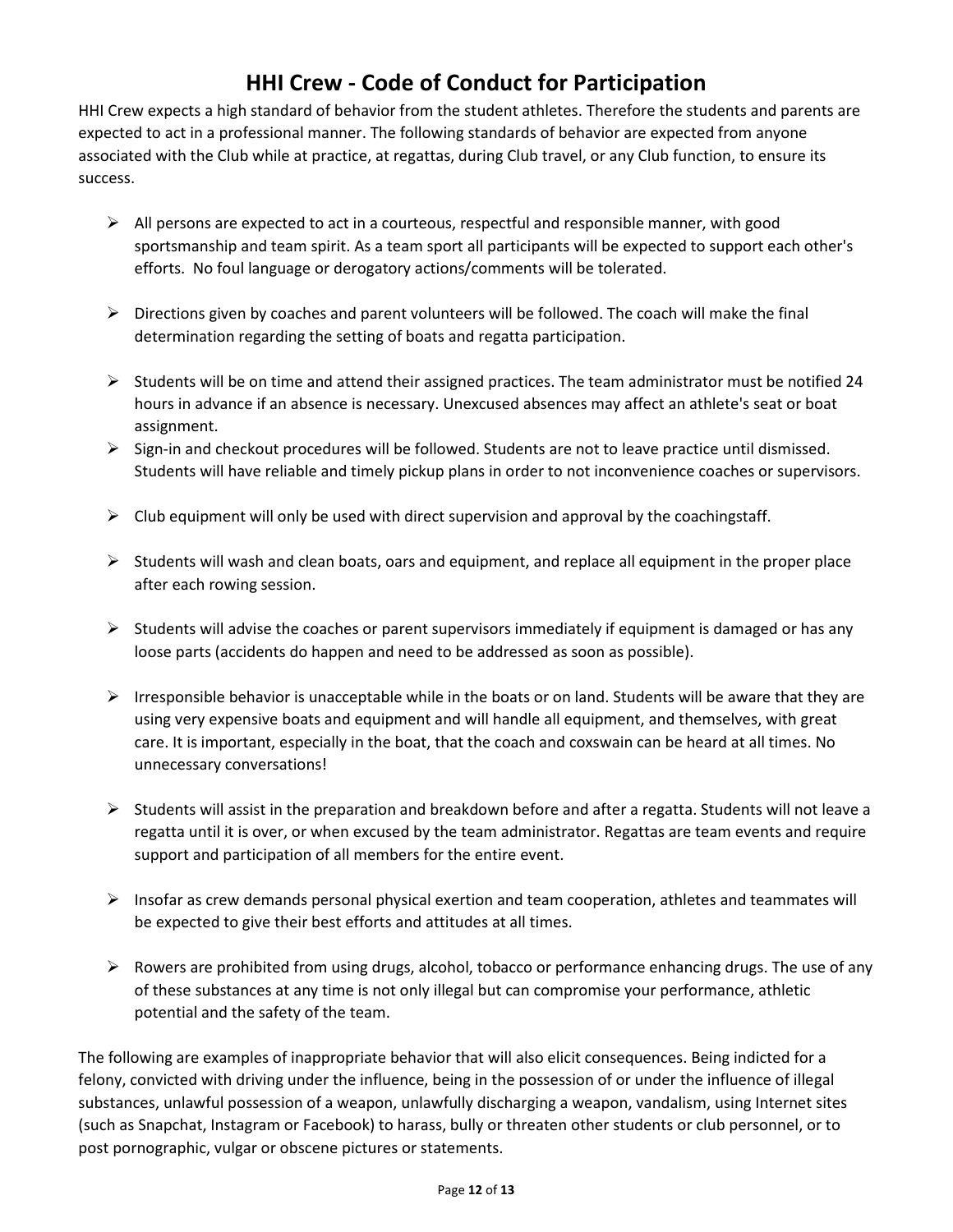# **HHI Crew - Code of Conduct for Participation**

HHI Crew expects a high standard of behavior from the student athletes. Therefore the students and parents are expected to act in a professional manner. The following standards of behavior are expected from anyone associated with the Club while at practice, at regattas, during Club travel, or any Club function, to ensure its success.

- $\triangleright$  All persons are expected to act in a courteous, respectful and responsible manner, with good sportsmanship and team spirit. As a team sport all participants will be expected to support each other's efforts. No foul language or derogatory actions/comments will be tolerated.
- $\triangleright$  Directions given by coaches and parent volunteers will be followed. The coach will make the final determination regarding the setting of boats and regatta participation.
- $\triangleright$  Students will be on time and attend their assigned practices. The team administrator must be notified 24 hours in advance if an absence is necessary. Unexcused absences may affect an athlete's seat or boat assignment.
- $\triangleright$  Sign-in and checkout procedures will be followed. Students are not to leave practice until dismissed. Students will have reliable and timely pickup plans in order to not inconvenience coaches or supervisors.
- $\triangleright$  Club equipment will only be used with direct supervision and approval by the coachingstaff.
- $\triangleright$  Students will wash and clean boats, oars and equipment, and replace all equipment in the proper place after each rowing session.
- $\triangleright$  Students will advise the coaches or parent supervisors immediately if equipment is damaged or has any loose parts (accidents do happen and need to be addressed as soon as possible).
- $\triangleright$  Irresponsible behavior is unacceptable while in the boats or on land. Students will be aware that they are using very expensive boats and equipment and will handle all equipment, and themselves, with great care. It is important, especially in the boat, that the coach and coxswain can be heard at all times. No unnecessary conversations!
- ➢ Students will assist in the preparation and breakdown before and after a regatta. Students will not leave a regatta until it is over, or when excused by the team administrator. Regattas are team events and require support and participation of all members for the entire event.
- $\triangleright$  Insofar as crew demands personal physical exertion and team cooperation, athletes and teammates will be expected to give their best efforts and attitudes at all times.
- $\triangleright$  Rowers are prohibited from using drugs, alcohol, tobacco or performance enhancing drugs. The use of any of these substances at any time is not only illegal but can compromise your performance, athletic potential and the safety of the team.

The following are examples of inappropriate behavior that will also elicit consequences. Being indicted for a felony, convicted with driving under the influence, being in the possession of or under the influence of illegal substances, unlawful possession of a weapon, unlawfully discharging a weapon, vandalism, using Internet sites (such as Snapchat, Instagram or Facebook) to harass, bully or threaten other students or club personnel, or to post pornographic, vulgar or obscene pictures or statements.